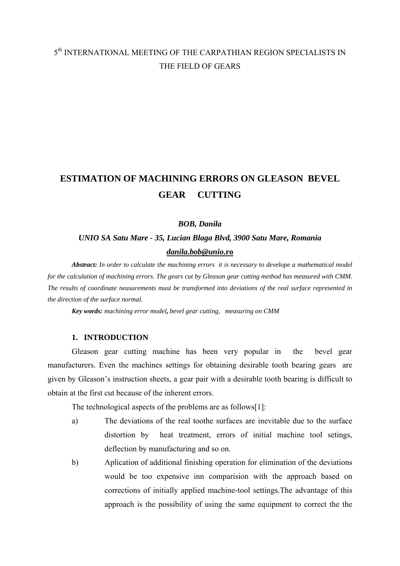# 5<sup>th</sup> INTERNATIONAL MEETING OF THE CARPATHIAN REGION SPECIALISTS IN THE FIELD OF GEARS

# **ESTIMATION OF MACHINING ERRORS ON GLEASON BEVEL GEAR CUTTING**

#### *BOB, Danila*

# *UNIO SA Satu Mare - 35, Lucian Blaga Blvd, 3900 Satu Mare, Romania [danila.bob@unio](mailto:danila.bob@unio.ro)***.ro**

*Abstract: In order to calculate the machining errors it is necessary to develope a mathematical model for the calculation of machining errors. The gears cut by Gleason gear cutting method has measured with CMM. The results of coordinate neasurements must be transformed into deviations of the real surface represented in the direction of the surface normal.*

*Key words: machining error model, bevel gear cutting, measuring on CMM* 

### **1. INTRODUCTION**

Gleason gear cutting machine has been very popular in the bevel gear manufacturers. Even the machines settings for obtaining desirable tooth bearing gears are given by Gleason's instruction sheets, a gear pair with a desirable tooth bearing is difficult to obtain at the first cut because of the inherent errors.

The technological aspects of the problems are as follows[1]:

- a) The deviations of the real toothe surfaces are inevitable due to the surface distortion by heat treatment, errors of initial machine tool setings, deflection by manufacturing and so on.
- b) Aplication of additional finishing operation for elimination of the deviations would be too expensive inn comparision with the approach based on corrections of initially applied machine-tool settings.The advantage of this approach is the possibility of using the same equipment to correct the the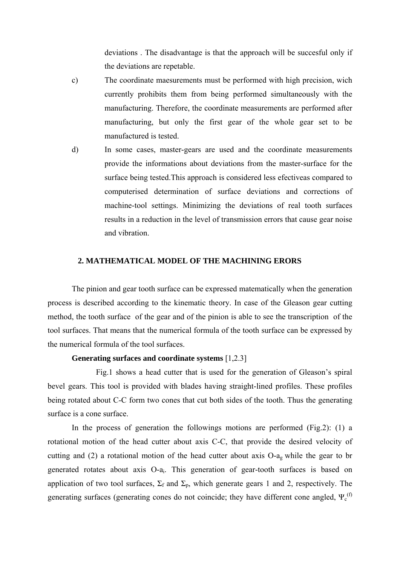deviations . The disadvantage is that the approach will be succesful only if the deviations are repetable.

- c) The coordinate maesurements must be performed with high precision, wich currently prohibits them from being performed simultaneously with the manufacturing. Therefore, the coordinate measurements are performed after manufacturing, but only the first gear of the whole gear set to be manufactured is tested.
- d) In some cases, master-gears are used and the coordinate measurements provide the informations about deviations from the master-surface for the surface being tested.This approach is considered less efectiveas compared to computerised determination of surface deviations and corrections of machine-tool settings. Minimizing the deviations of real tooth surfaces results in a reduction in the level of transmission errors that cause gear noise and vibration.

## **2. MATHEMATICAL MODEL OF THE MACHINING ERORS**

The pinion and gear tooth surface can be expressed matematically when the generation process is described according to the kinematic theory. In case of the Gleason gear cutting method, the tooth surface of the gear and of the pinion is able to see the transcription of the tool surfaces. That means that the numerical formula of the tooth surface can be expressed by the numerical formula of the tool surfaces.

#### **Generating surfaces and coordinate systems** [1,2.3]

 Fig.1 shows a head cutter that is used for the generation of Gleason's spiral bevel gears. This tool is provided with blades having straight-lined profiles. These profiles being rotated about C-C form two cones that cut both sides of the tooth. Thus the generating surface is a cone surface.

In the process of generation the followings motions are performed  $(Fig.2)$ : (1) a rotational motion of the head cutter about axis C-C, that provide the desired velocity of cutting and (2) a rotational motion of the head cutter about axis O-ag while the gear to br generated rotates about axis O-ai. This generation of gear-tooth surfaces is based on application of two tool surfaces,  $\Sigma_f$  and  $\Sigma_p$ , which generate gears 1 and 2, respectively. The generating surfaces (generating cones do not coincide; they have different cone angled,  $\Psi_c^{(f)}$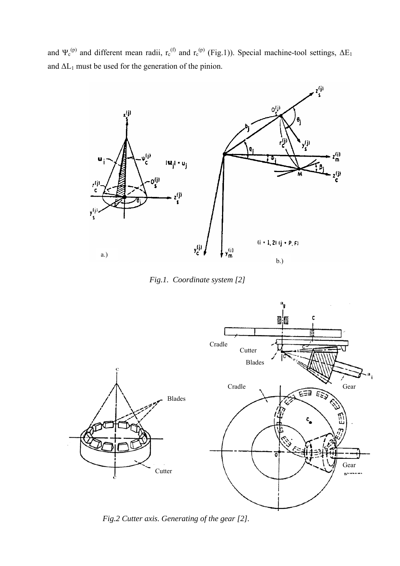and  $\Psi_c^{(p)}$  and different mean radii,  $r_c^{(f)}$  and  $r_c^{(p)}$  (Fig.1)). Special machine-tool settings,  $\Delta E_1$ and  $\Delta L_1$  must be used for the generation of the pinion.



 *Fig.1. Coordinate system [2]*



*Fig.2 Cutter axis. Generating of the gear [2].*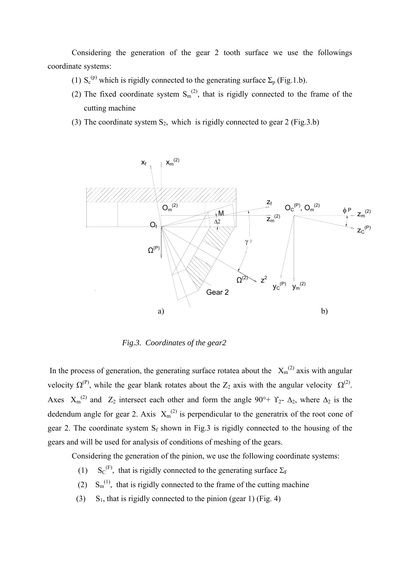Considering the generation of the gear 2 tooth surface we use the followings coordinate systems:

- (1)  $S_c^{(p)}$  which is rigidly connected to the generating surface  $\Sigma_p$  (Fig.1.b).
- (2) The fixed coordinate system  $S_m^{(2)}$ , that is rigidly connected to the frame of the cutting machine
- (3) The coordinate system  $S_2$ , which is rigidly connected to gear 2 (Fig. 3.b)



 *Fig.3. Coordinates of the gear2* 

In the process of generation, the generating surface rotatea about the  $X_m^{(2)}$  axis with angular velocity  $\Omega^{(P)}$ , while the gear blank rotates about the Z<sub>2</sub> axis with the angular velocity  $\Omega^{(2)}$ . Axes  $X_m^{(2)}$  and  $Z_2$  intersect each other and form the angle 90°+  $Y_2$ -  $\Delta_2$ , where  $\Delta_2$  is the dedendum angle for gear 2. Axis  $X_m^{(2)}$  is perpendicular to the generatrix of the root cone of gear 2. The coordinate system  $S_f$  shown in Fig.3 is rigidly connected to the housing of the gears and will be used for analysis of conditions of meshing of the gears.

Considering the generation of the pinion, we use the following coordinate systems:

- $(1)$  $S_C^{(F)}$ , that is rigidly connected to the generating surface  $\Sigma_F$
- (2)  $S_m^{(1)}$ , that is rigidly connected to the frame of the cutting machine
- (3) S<sub>1</sub>, that is rigidly connected to the pinion (gear 1) (Fig. 4)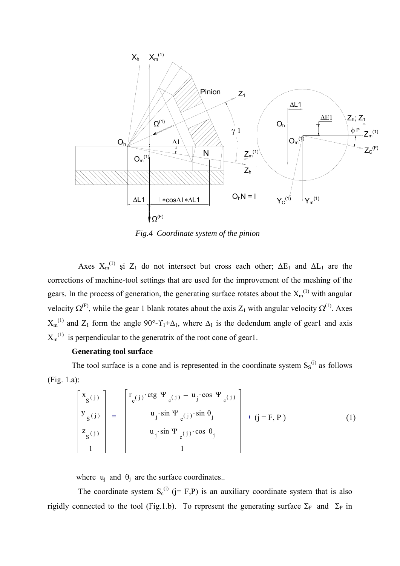

*Fig.4 Coordinate system of the pinion* 

Axes  $X_m^{(1)}$  și  $Z_1$  do not intersect but cross each other;  $\Delta E_1$  and  $\Delta L_1$  are the corrections of machine-tool settings that are used for the improvement of the meshing of the gears. In the process of generation, the generating surface rotates about the  $X_m^{(1)}$  with angular velocity  $\Omega^{(F)}$ , while the gear 1 blank rotates about the axis Z<sub>1</sub> with angular velocity  $\Omega^{(1)}$ . Axes  $X_m^{(1)}$  and  $Z_1$  form the angle 90°- $\Upsilon_1+\Delta_1$ , where  $\Delta_1$  is the dedendum angle of gear1 and axis  $X_m^{(1)}$  is perpendicular to the generatrix of the root cone of gear1.

### **Generating tool surface**

The tool surface is a cone and is represented in the coordinate system  $S_s^{(j)}$  as follows (Fig. 1.a):

$$
\begin{bmatrix}\nx_{s(j)} \\
y_{s(j)} \\
z_{s(j)} \\
1\n\end{bmatrix} = \begin{bmatrix}\nr_{c(j)} \cdot \text{ctg } \Psi_{c(j)} - u_j \cdot \cos \Psi_{c(j)} \\
u_j \cdot \sin \Psi_{c(j)} \cdot \sin \theta_j \\
u_j \cdot \sin \Psi_{c(j)} \cdot \cos \theta_j \\
1\n\end{bmatrix} + (j = F, P) \tag{1}
$$

where  $u_i$  and  $\theta_i$  are the surface coordinates..

The coordinate system  $S_c^{(j)}$  (j= F,P) is an auxiliary coordinate system that is also rigidly connected to the tool (Fig.1.b). To represent the generating surface  $\Sigma_F$  and  $\Sigma_P$  in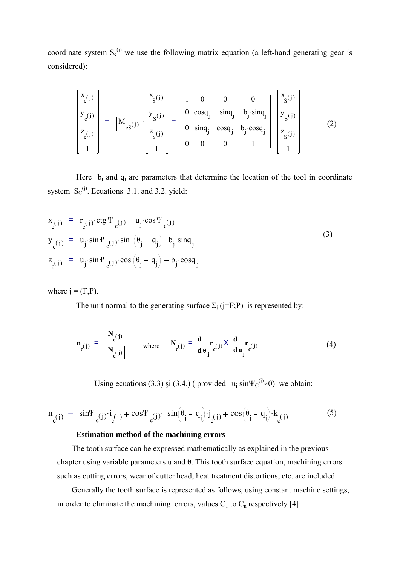coordinate system  $S_c^{(i)}$  we use the following matrix equation (a left-hand generating gear is considered):

$$
\begin{bmatrix} x_{c}(j) \\ y_{c}(j) \\ z_{c}(j) \\ z_{c}(j) \\ 1 \end{bmatrix} = \begin{bmatrix} x_{s}(j) \\ y_{s}(j) \\ z_{s}(j) \\ 1 \end{bmatrix} \cdot \begin{bmatrix} x_{s}(j) \\ y_{s}(j) \\ z_{s}(j) \\ 1 \end{bmatrix} = \begin{bmatrix} 1 & 0 & 0 & 0 \\ 0 & \cos q_{j} & -\sin q_{j} & -b_{j} \cdot \sin q_{j} \\ 0 & \sin q_{j} & \cos q_{j} & b_{j} \cdot \cos q_{j} \\ 0 & 0 & 0 & 1 \end{bmatrix} \begin{bmatrix} x_{s}(j) \\ y_{s}(j) \\ z_{s}(j) \\ 1 \end{bmatrix}
$$
(2)

Here  $b_i$  and  $q_i$  are parameters that determine the location of the tool in coordinate system  $S_C^{(j)}$ . Ecuations 3.1. and 3.2. yield:

$$
x_{c(j)} = r_{c(j)} \cdot ctg \Psi_{c(j)} - u_j \cdot cos \Psi_{c(j)}
$$
  
\n
$$
y_{c(j)} = u_j \cdot sin \Psi_{c(j)} \cdot sin (\theta_j - q_j) - b_j \cdot sin q_j
$$
  
\n
$$
z_{c(j)} = u_j \cdot sin \Psi_{c(j)} \cdot cos (\theta_j - q_j) + b_j \cdot cos q_j
$$
\n(3)

where  $j = (F,P)$ .

The unit normal to the generating surface  $\Sigma_i$  (j=F;P) is represented by:

$$
\mathbf{n}_{c}(j) = \frac{\mathbf{N}_{c}(j)}{\left|\mathbf{N}_{c}(j)\right|} \quad \text{where} \quad \mathbf{N}_{c}(j) = \frac{d}{d\theta_{j}}\mathbf{r}_{c}(j) \times \frac{d}{d\mathbf{u}_{j}}\mathbf{r}_{c}(j) \tag{4}
$$

Using ecuations (3.3) și (3.4.) ( provided  $u_j \sin \Psi_c^{(j)} \neq 0$ ) we obtain:

$$
n_{c}(j) = \sin\Psi_{c}(j)\dot{q}(j) + \cos\Psi_{c}(j)\dot{q}\sin(\theta_j - \theta_j)\dot{q}(j) + \cos(\theta_j - \theta_j)\dot{q}(j)
$$
(5)

#### **Estimation method of the machining errors**

 The tooth surface can be expressed mathematically as explained in the previous chapter using variable parameters u and θ. This tooth surface equation, machining errors such as cutting errors, wear of cutter head, heat treatment distortions, etc. are included.

 Generally the tooth surface is represented as follows, using constant machine settings, in order to eliminate the machining errors, values  $C_1$  to  $C_n$  respectively [4]: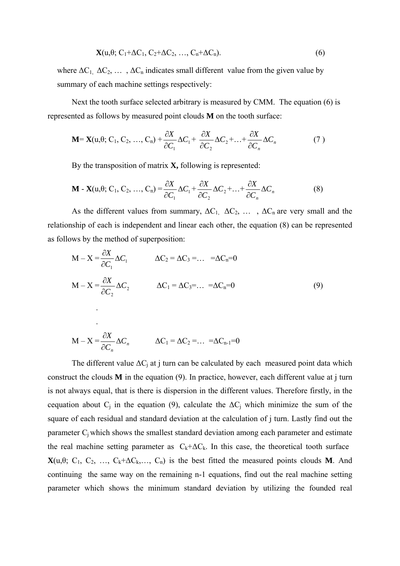$$
\mathbf{X}(u,\theta; C_1 + \Delta C_1, C_2 + \Delta C_2, \ldots, C_n + \Delta C_n). \tag{6}
$$

where  $\Delta C_1$ ,  $\Delta C_2$ , ...,  $\Delta C_n$  indicates small different value from the given value by summary of each machine settings respectively:

 Next the tooth surface selected arbitrary is measured by CMM. The equation (6) is represented as follows by measured point clouds **M** on the tooth surface:

$$
\mathbf{M} = \mathbf{X}(\mathbf{u}, \theta; \mathbf{C}_1, \mathbf{C}_2, \dots, \mathbf{C}_n) + \frac{\partial X}{\partial C_1} \Delta C_1 + \frac{\partial X}{\partial C_2} \Delta C_2 + \dots + \frac{\partial X}{\partial C_n} \Delta C_n \tag{7}
$$

By the transposition of matrix **X,** following is represented:

 $M - X = \frac{G}{2C} \Delta C_n$ 

∂

*n*

*C*

*C*

$$
\mathbf{M} - \mathbf{X}(u, \theta; C_1, C_2, ..., C_n) = \frac{\partial X}{\partial C_1} \Delta C_1 + \frac{\partial X}{\partial C_2} \Delta C_2 + ... + \frac{\partial X}{\partial C_n} \Delta C_n
$$
(8)

As the different values from summary,  $\Delta C_1$ ,  $\Delta C_2$ , ...,  $\Delta C_n$  are very small and the relationship of each is independent and linear each other, the equation (8) can be represented as follows by the method of superposition:

$$
M - X = \frac{\partial X}{\partial C_1} \Delta C_1 \qquad \Delta C_2 = \Delta C_3 = \dots = \Delta C_n = 0
$$
  
\n
$$
M - X = \frac{\partial X}{\partial C_2} \Delta C_2 \qquad \Delta C_1 = \Delta C_3 = \dots = \Delta C_n = 0
$$
  
\n
$$
M - X = \frac{\partial X}{\partial C_2} \Delta C_n \qquad \Delta C_1 = \Delta C_2 = \dots = \Delta C_{n-1} = 0
$$
  
\n(9)

The different value 
$$
\Delta C_j
$$
 at j turn can be calculated by each measured point data which  
construct the clouds **M** in the equation (9). In practice, however, each different value at j turn  
is not always equal, that is there is dispersion in the different values. Therefore firstly, in the  
cequation about  $C_j$  in the equation (9), calculate the  $\Delta C_j$  which minimize the sum of the  
square of each residual and standard deviation at the calculation of j turn. Lastly find out the  
parameter  $C_j$  which shows the smallest standard deviation among each parameter and estimate  
the real machine setting parameter as  $C_k+\Delta C_k$ . In this case, the theoretical tooth surface  
 $\mathbf{X}(u,\theta; C_1, C_2, ..., C_k+\Delta C_k, ..., C_n)$  is the best fitted the measured points clouds **M**. And  
continuing the same way on the remaining n-1 equations, find out the real machine setting  
parameter which shows the minimum standard deviation by utilizing the founded real